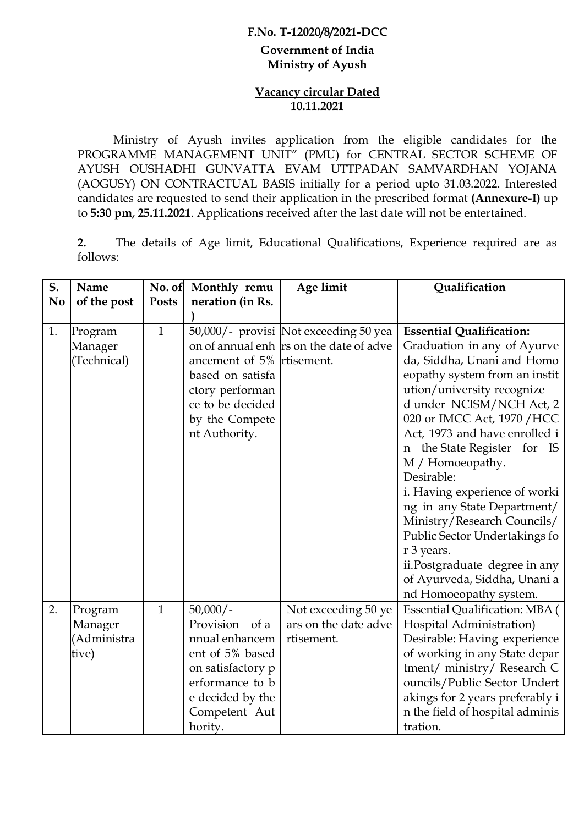### **F.No. T-12020/8/2021-DCC**

#### **Government of India Ministry of Ayush**

### **Vacancy circular Dated 10.11.2021**

Ministry of Ayush invites application from the eligible candidates for the PROGRAMME MANAGEMENT UNIT" (PMU) for CENTRAL SECTOR SCHEME OF AYUSH OUSHADHI GUNVATTA EVAM UTTPADAN SAMVARDHAN YOJANA (AOGUSY) ON CONTRACTUAL BASIS initially for a period upto 31.03.2022. Interested candidates are requested to send their application in the prescribed format **(Annexure-I)** up to **5:30 pm, 25.11.2021**. Applications received after the last date will not be entertained.

**2.** The details of Age limit, Educational Qualifications, Experience required are as follows:

| S.             | Name        | No. of       | Monthly remu              | Age limit                               | Qualification                         |
|----------------|-------------|--------------|---------------------------|-----------------------------------------|---------------------------------------|
| N <sub>0</sub> | of the post | <b>Posts</b> | neration (in Rs.          |                                         |                                       |
|                |             |              |                           |                                         |                                       |
| 1.             | Program     | $\mathbf{1}$ |                           | 50,000/- provisi Not exceeding 50 yea   | <b>Essential Qualification:</b>       |
|                | Manager     |              |                           | on of annual enh rs on the date of adve | Graduation in any of Ayurve           |
|                | (Technical) |              | ancement of 5% rtisement. |                                         | da, Siddha, Unani and Homo            |
|                |             |              | based on satisfa          |                                         | eopathy system from an instit         |
|                |             |              | ctory performan           |                                         | ution/university recognize            |
|                |             |              | ce to be decided          |                                         | d under NCISM/NCH Act, 2              |
|                |             |              | by the Compete            |                                         | 020 or IMCC Act, 1970 / HCC           |
|                |             |              | nt Authority.             |                                         | Act, 1973 and have enrolled i         |
|                |             |              |                           |                                         | n the State Register for IS           |
|                |             |              |                           |                                         | M / Homoeopathy.                      |
|                |             |              |                           |                                         | Desirable:                            |
|                |             |              |                           |                                         | i. Having experience of worki         |
|                |             |              |                           |                                         | ng in any State Department/           |
|                |             |              |                           |                                         | Ministry/Research Councils/           |
|                |             |              |                           |                                         | Public Sector Undertakings fo         |
|                |             |              |                           |                                         | r 3 years.                            |
|                |             |              |                           |                                         | ii.Postgraduate degree in any         |
|                |             |              |                           |                                         | of Ayurveda, Siddha, Unani a          |
|                |             |              |                           |                                         | nd Homoeopathy system.                |
| 2.             | Program     | $\mathbf{1}$ | $50,000/-$                | Not exceeding 50 ye                     | <b>Essential Qualification: MBA (</b> |
|                | Manager     |              | Provision of a            | ars on the date adve                    | Hospital Administration)              |
|                | (Administra |              | nnual enhancem            | rtisement.                              | Desirable: Having experience          |
|                | tive)       |              | ent of 5% based           |                                         | of working in any State depar         |
|                |             |              | on satisfactory p         |                                         | tment/ ministry/ Research C           |
|                |             |              | erformance to b           |                                         | ouncils/Public Sector Undert          |
|                |             |              | e decided by the          |                                         | akings for 2 years preferably i       |
|                |             |              | Competent Aut             |                                         | n the field of hospital adminis       |
|                |             |              | hority.                   |                                         | tration.                              |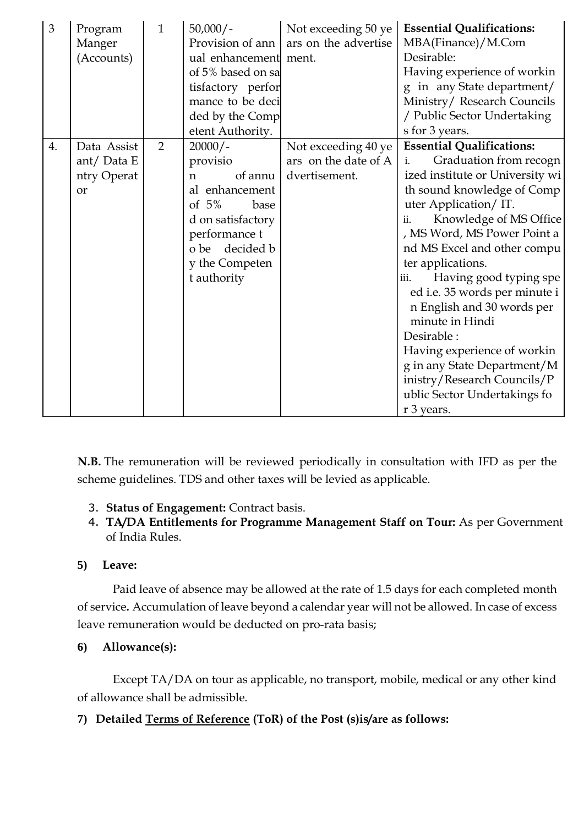| 3  | Program<br>Manger<br>(Accounts)                          | $\mathbf{1}$ | $50,000/-$<br>Provision of ann<br>ual enhancement ment.<br>of 5% based on sa<br>tisfactory perfor<br>mance to be deci<br>ded by the Comp<br>etent Authority.                   | Not exceeding 50 ye<br>ars on the advertise                  | <b>Essential Qualifications:</b><br>MBA(Finance)/M.Com<br>Desirable:<br>Having experience of workin<br>g in any State department/<br>Ministry/ Research Councils<br>/ Public Sector Undertaking<br>s for 3 years.                                                                                                                                                                                                                                                                                                                                          |
|----|----------------------------------------------------------|--------------|--------------------------------------------------------------------------------------------------------------------------------------------------------------------------------|--------------------------------------------------------------|------------------------------------------------------------------------------------------------------------------------------------------------------------------------------------------------------------------------------------------------------------------------------------------------------------------------------------------------------------------------------------------------------------------------------------------------------------------------------------------------------------------------------------------------------------|
| 4. | Data Assist<br>ant/ Data $E$<br>ntry Operat<br><b>or</b> | 2            | $20000/-$<br>provisio<br>of annu<br>$\mathsf{n}$<br>al enhancement<br>of $5%$<br>base<br>d on satisfactory<br>performance t<br>o be decided b<br>y the Competen<br>t authority | Not exceeding 40 ye<br>ars on the date of A<br>dvertisement. | <b>Essential Qualifications:</b><br>Graduation from recogn<br>i.<br>ized institute or University wi<br>th sound knowledge of Comp<br>uter Application/IT.<br>Knowledge of MS Office<br>ii.<br>, MS Word, MS Power Point a<br>nd MS Excel and other compu<br>ter applications.<br>Having good typing spe<br>iii.<br>ed i.e. 35 words per minute i<br>n English and 30 words per<br>minute in Hindi<br>Desirable:<br>Having experience of workin<br>g in any State Department/M<br>inistry/Research Councils/P<br>ublic Sector Undertakings fo<br>r 3 years. |

**N.B.** The remuneration will be reviewed periodically in consultation with IFD as per the scheme guidelines. TDS and other taxes will be levied as applicable.

- 3. **Status of Engagement:** Contract basis.
- 4. **TA/DA Entitlements for Programme Management Staff on Tour:** As per Government of India Rules.

## **5) Leave:**

Paid leave of absence may be allowed at the rate of 1.5 days for each completed month of service**.** Accumulation of leave beyond a calendar year will not be allowed. In case of excess leave remuneration would be deducted on pro-rata basis;

**6) Allowance(s):**

Except TA/DA on tour as applicable, no transport, mobile, medical or any other kind of allowance shall be admissible.

# **7) Detailed Terms of Reference (ToR) of the Post (s)is/are as follows:**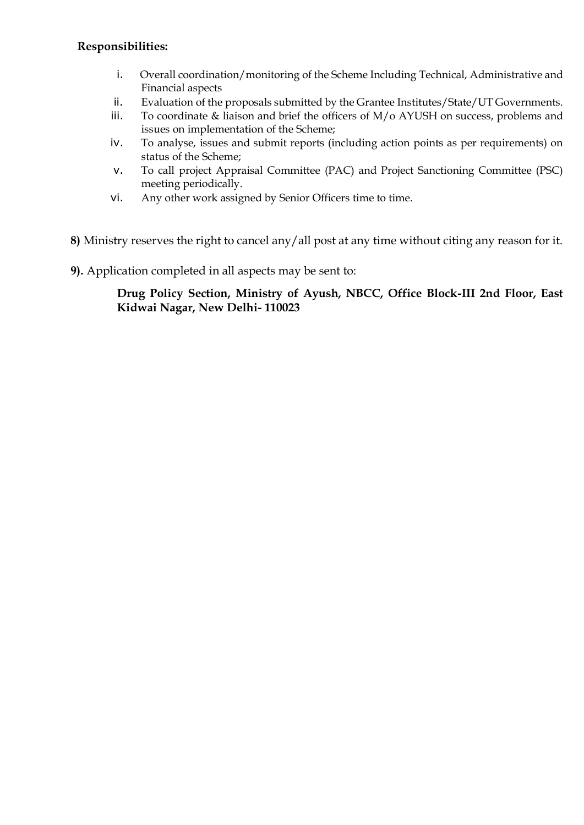### **Responsibilities:**

- i. Overall coordination/monitoring of the Scheme Including Technical, Administrative and Financial aspects
- ii. Evaluation of the proposals submitted by the Grantee Institutes/State/UT Governments.
- iii. To coordinate & liaison and brief the officers of M/o AYUSH on success, problems and issues on implementation of the Scheme;
- iv. To analyse, issues and submit reports (including action points as per requirements) on status of the Scheme;
- v. To call project Appraisal Committee (PAC) and Project Sanctioning Committee (PSC) meeting periodically.
- vi. Any other work assigned by Senior Officers time to time.

**8)** Ministry reserves the right to cancel any/all post at any time without citing any reason for it.

**9).** Application completed in all aspects may be sent to:

### **Drug Policy Section, Ministry of Ayush, NBCC, Office Block-III 2nd Floor, East Kidwai Nagar, New Delhi- 110023**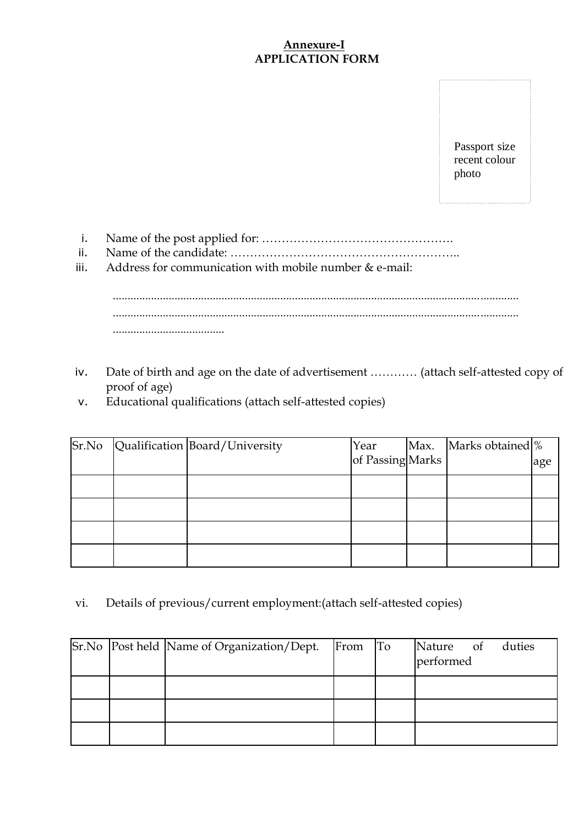### **Annexure-I APPLICATION FORM**

Passport size recent colour photo

i. Name of the post applied for: ………………………………………….

- ii. Name of the candidate: …………………………………………………..
- iii. Address for communication with mobile number & e-mail:

.......................................................................................................................................... .......................................................................................................................................... ......................................

- iv. Date of birth and age on the date of advertisement ………… (attach self-attested copy of proof of age)
- v. Educational qualifications (attach self-attested copies)

|  | Sr.No Qualification Board/University | Year             | Max. Marks obtained  % |     |
|--|--------------------------------------|------------------|------------------------|-----|
|  |                                      | of Passing Marks |                        | age |
|  |                                      |                  |                        |     |
|  |                                      |                  |                        |     |
|  |                                      |                  |                        |     |
|  |                                      |                  |                        |     |

vi. Details of previous/current employment:(attach self-attested copies)

|  | Sr.No   Post held   Name of Organization / Dept. | From To | Nature of duties<br>performed |
|--|--------------------------------------------------|---------|-------------------------------|
|  |                                                  |         |                               |
|  |                                                  |         |                               |
|  |                                                  |         |                               |